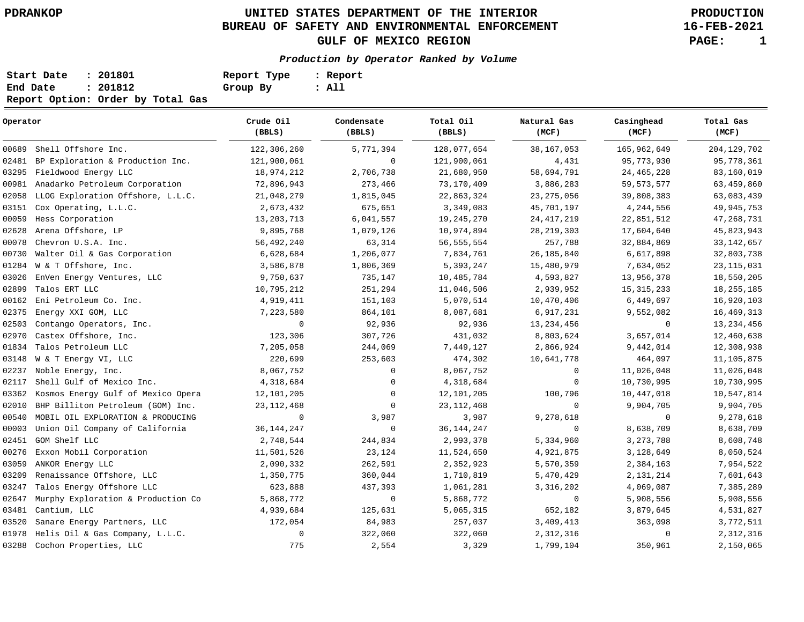## **UNITED STATES DEPARTMENT OF THE INTERIOR PDRANKOP PRODUCTION BUREAU OF SAFETY AND ENVIRONMENTAL ENFORCEMENT GULF OF MEXICO REGION PAGE: 1**

**16-FEB-2021**

## **Production by Operator Ranked by Volume**

| Start Date | : 201801                          | Report Type | : Report |
|------------|-----------------------------------|-------------|----------|
| End Date   | : 201812                          | Group By    | : All    |
|            | Report Option: Order by Total Gas |             |          |

| Operator |                                    | Crude Oil<br>(BBLS) | Condensate<br>(BBLS) | Total Oil<br>(BBLS) | Natural Gas<br>(MCF) | Casinghead<br>(MCF) | Total Gas<br>(MCF)  |
|----------|------------------------------------|---------------------|----------------------|---------------------|----------------------|---------------------|---------------------|
| 00689    | Shell Offshore Inc.                | 122,306,260         | 5,771,394            | 128,077,654         | 38, 167, 053         | 165,962,649         | 204, 129, 702       |
| 02481    | BP Exploration & Production Inc.   | 121,900,061         | 0                    | 121,900,061         | 4,431                | 95,773,930          | 95,778,361          |
| 03295    | Fieldwood Energy LLC               | 18,974,212          | 2,706,738            | 21,680,950          | 58,694,791           | 24, 465, 228        | 83,160,019          |
| 00981    | Anadarko Petroleum Corporation     | 72,896,943          | 273,466              | 73,170,409          | 3,886,283            | 59, 573, 577        | 63,459,860          |
| 02058    | LLOG Exploration Offshore, L.L.C.  | 21,048,279          | 1,815,045            | 22,863,324          | 23, 275, 056         | 39,808,383          | 63,083,439          |
| 03151    | Cox Operating, L.L.C.              | 2,673,432           | 675,651              | 3,349,083           | 45,701,197           | 4,244,556           | 49, 945, 753        |
| 00059    | Hess Corporation                   | 13, 203, 713        | 6,041,557            | 19, 245, 270        | 24, 417, 219         | 22,851,512          | 47, 268, 731        |
| 02628    | Arena Offshore, LP                 | 9,895,768           | 1,079,126            | 10,974,894          | 28, 219, 303         | 17,604,640          | 45,823,943          |
| 00078    | Chevron U.S.A. Inc.                | 56,492,240          | 63,314               | 56, 555, 554        | 257,788              | 32,884,869          | 33, 142, 657        |
| 00730    | Walter Oil & Gas Corporation       | 6,628,684           | 1,206,077            | 7,834,761           | 26, 185, 840         | 6,617,898           | 32,803,738          |
| 01284    | W & T Offshore, Inc.               | 3,586,878           | 1,806,369            | 5,393,247           | 15,480,979           | 7,634,052           | 23, 115, 031        |
| 03026    | EnVen Energy Ventures, LLC         | 9,750,637           | 735,147              | 10,485,784          | 4,593,827            | 13,956,378          | 18,550,205          |
| 02899    | Talos ERT LLC                      | 10,795,212          | 251,294              | 11,046,506          | 2,939,952            | 15, 315, 233        | 18, 255, 185        |
| 00162    | Eni Petroleum Co. Inc.             | 4,919,411           | 151,103              | 5,070,514           | 10,470,406           | 6,449,697           | 16,920,103          |
| 02375    | Energy XXI GOM, LLC                | 7,223,580           | 864,101              | 8,087,681           | 6,917,231            | 9,552,082           | 16,469,313          |
| 02503    | Contango Operators, Inc.           | $\mathbf 0$         | 92,936               | 92,936              | 13, 234, 456         | $\mathbf 0$         | 13, 234, 456        |
| 02970    | Castex Offshore, Inc.              | 123,306             | 307,726              | 431,032             | 8,803,624            | 3,657,014           | 12,460,638          |
| 01834    | Talos Petroleum LLC                | 7,205,058           | 244,069              | 7,449,127           | 2,866,924            | 9,442,014           | 12,308,938          |
| 03148    | W & T Energy VI, LLC               | 220,699             | 253,603              | 474,302             | 10,641,778           | 464,097             | 11,105,875          |
| 02237    | Noble Energy, Inc.                 | 8,067,752           | $\mathbf 0$          | 8,067,752           | $\mathbf 0$          | 11,026,048          | 11,026,048          |
| 02117    | Shell Gulf of Mexico Inc.          | 4,318,684           | 0                    | 4,318,684           | $\mathbf 0$          | 10,730,995          | 10,730,995          |
| 03362    | Kosmos Energy Gulf of Mexico Opera | 12,101,205          | $\mathbf{0}$         | 12,101,205          | 100,796              | 10,447,018          | 10,547,814          |
| 02010    | BHP Billiton Petroleum (GOM) Inc.  | 23, 112, 468        | $\mathbf 0$          | 23, 112, 468        | $\mathbf 0$          | 9,904,705           | 9,904,705           |
| 00540    | MOBIL OIL EXPLORATION & PRODUCING  | $\mathbf 0$         | 3,987                | 3,987               | 9,278,618            | 0                   | 9,278,618           |
| 00003    | Union Oil Company of California    | 36, 144, 247        | $\mathbf 0$          | 36, 144, 247        | $\mathbf 0$          | 8,638,709           | 8,638,709           |
| 02451    | GOM Shelf LLC                      | 2,748,544           | 244,834              | 2,993,378           | 5,334,960            | 3, 273, 788         | 8,608,748           |
| 00276    | Exxon Mobil Corporation            | 11,501,526          | 23,124               | 11,524,650          | 4,921,875            | 3,128,649           | $8\,,\,050\,,\,524$ |
| 03059    | ANKOR Energy LLC                   | 2,090,332           | 262,591              | 2,352,923           | 5,570,359            | 2,384,163           | 7,954,522           |
| 03209    | Renaissance Offshore, LLC          | 1,350,775           | 360,044              | 1,710,819           | 5,470,429            | 2,131,214           | 7,601,643           |
| 03247    | Talos Energy Offshore LLC          | 623,888             | 437,393              | 1,061,281           | 3, 316, 202          | 4,069,087           | 7,385,289           |
| 02647    | Murphy Exploration & Production Co | 5,868,772           | $\mathbf 0$          | 5,868,772           | $\mathsf 0$          | 5,908,556           | 5,908,556           |
| 03481    | Cantium, LLC                       | 4,939,684           | 125,631              | 5,065,315           | 652,182              | 3,879,645           | 4,531,827           |
| 03520    | Sanare Energy Partners, LLC        | 172,054             | 84,983               | 257,037             | 3,409,413            | 363,098             | 3,772,511           |
| 01978    | Helis Oil & Gas Company, L.L.C.    | $\mathbf 0$         | 322,060              | 322,060             | 2,312,316            | $\mathbf 0$         | 2,312,316           |
|          | 03288 Cochon Properties, LLC       | 775                 | 2,554                | 3,329               | 1,799,104            | 350,961             | 2,150,065           |